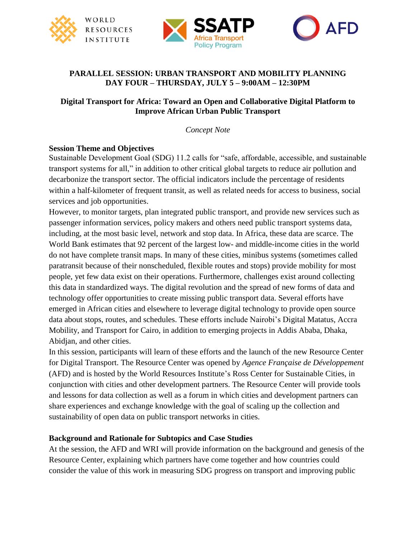





### **PARALLEL SESSION: URBAN TRANSPORT AND MOBILITY PLANNING DAY FOUR – THURSDAY, JULY 5 – 9:00AM – 12:30PM**

### **Digital Transport for Africa: Toward an Open and Collaborative Digital Platform to Improve African Urban Public Transport**

*Concept Note*

#### **Session Theme and Objectives**

Sustainable Development Goal (SDG) 11.2 calls for "safe, affordable, accessible, and sustainable transport systems for all," in addition to other critical global targets to reduce air pollution and decarbonize the transport sector. The official indicators include the percentage of residents within a half-kilometer of frequent transit, as well as related needs for access to business, social services and job opportunities.

However, to monitor targets, plan integrated public transport, and provide new services such as passenger information services, policy makers and others need public transport systems data, including, at the most basic level, network and stop data. In Africa, these data are scarce. The World Bank estimates that 92 percent of the largest low- and middle-income cities in the world do not have complete transit maps. In many of these cities, minibus systems (sometimes called paratransit because of their nonscheduled, flexible routes and stops) provide mobility for most people, yet few data exist on their operations. Furthermore, challenges exist around collecting this data in standardized ways. The digital revolution and the spread of new forms of data and technology offer opportunities to create missing public transport data. Several efforts have emerged in African cities and elsewhere to leverage digital technology to provide open source data about stops, routes, and schedules. These efforts include Nairobi's Digital Matatus, Accra Mobility, and Transport for Cairo, in addition to emerging projects in Addis Ababa, Dhaka, Abidjan, and other cities.

In this session, participants will learn of these efforts and the launch of the new Resource Center for Digital Transport. The Resource Center was opened by *Agence Française de Développement*  (AFD) and is hosted by the World Resources Institute's Ross Center for Sustainable Cities, in conjunction with cities and other development partners. The Resource Center will provide tools and lessons for data collection as well as a forum in which cities and development partners can share experiences and exchange knowledge with the goal of scaling up the collection and sustainability of open data on public transport networks in cities.

### **Background and Rationale for Subtopics and Case Studies**

At the session, the AFD and WRI will provide information on the background and genesis of the Resource Center, explaining which partners have come together and how countries could consider the value of this work in measuring SDG progress on transport and improving public